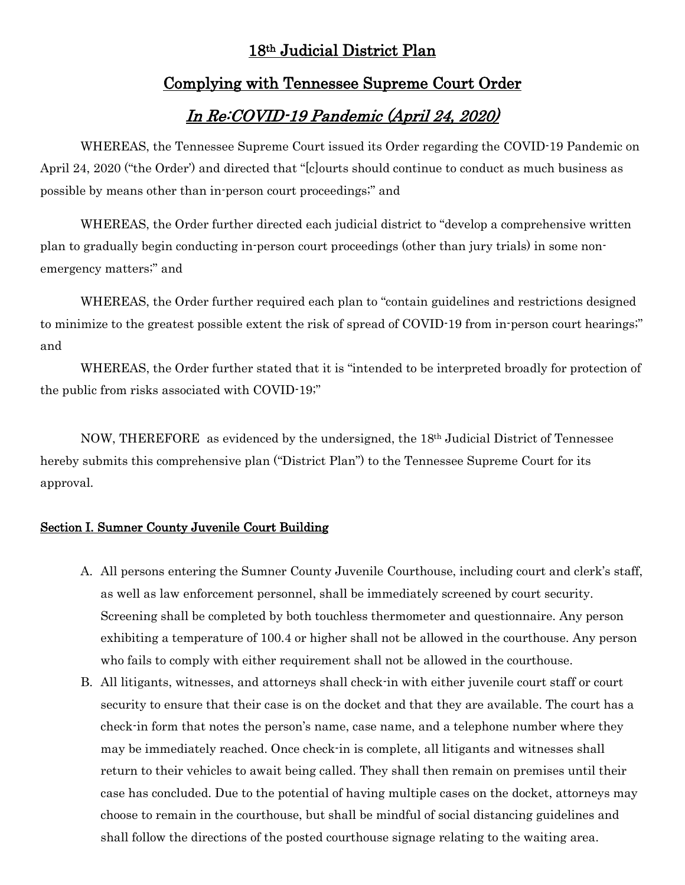## 18th Judicial District Plan

## Complying with Tennessee Supreme Court Order

# In Re:COVID-19 Pandemic (April 24, 2020)

WHEREAS, the Tennessee Supreme Court issued its Order regarding the COVID-19 Pandemic on April 24, 2020 ("the Order') and directed that "[c]ourts should continue to conduct as much business as possible by means other than in-person court proceedings;" and

WHEREAS, the Order further directed each judicial district to "develop a comprehensive written plan to gradually begin conducting in-person court proceedings (other than jury trials) in some nonemergency matters;" and

WHEREAS, the Order further required each plan to "contain guidelines and restrictions designed to minimize to the greatest possible extent the risk of spread of COVID-19 from in-person court hearings;" and

WHEREAS, the Order further stated that it is "intended to be interpreted broadly for protection of the public from risks associated with COVID-19;"

NOW, THEREFORE as evidenced by the undersigned, the 18th Judicial District of Tennessee hereby submits this comprehensive plan ("District Plan") to the Tennessee Supreme Court for its approval.

#### Section I. Sumner County Juvenile Court Building

- A. All persons entering the Sumner County Juvenile Courthouse, including court and clerk's staff, as well as law enforcement personnel, shall be immediately screened by court security. Screening shall be completed by both touchless thermometer and questionnaire. Any person exhibiting a temperature of 100.4 or higher shall not be allowed in the courthouse. Any person who fails to comply with either requirement shall not be allowed in the courthouse.
- B. All litigants, witnesses, and attorneys shall check-in with either juvenile court staff or court security to ensure that their case is on the docket and that they are available. The court has a check-in form that notes the person's name, case name, and a telephone number where they may be immediately reached. Once check-in is complete, all litigants and witnesses shall return to their vehicles to await being called. They shall then remain on premises until their case has concluded. Due to the potential of having multiple cases on the docket, attorneys may choose to remain in the courthouse, but shall be mindful of social distancing guidelines and shall follow the directions of the posted courthouse signage relating to the waiting area.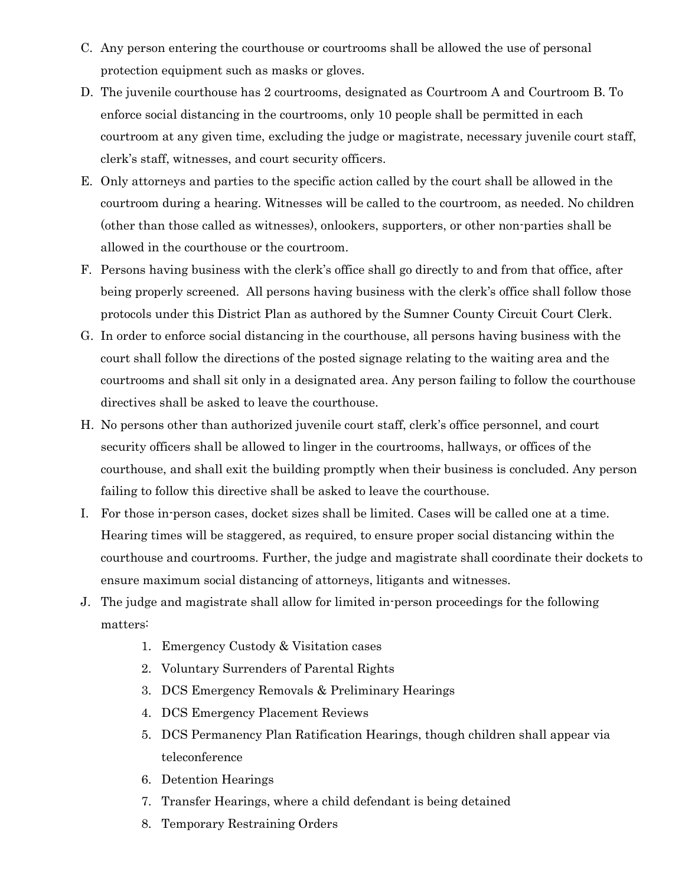- C. Any person entering the courthouse or courtrooms shall be allowed the use of personal protection equipment such as masks or gloves.
- D. The juvenile courthouse has 2 courtrooms, designated as Courtroom A and Courtroom B. To enforce social distancing in the courtrooms, only 10 people shall be permitted in each courtroom at any given time, excluding the judge or magistrate, necessary juvenile court staff, clerk's staff, witnesses, and court security officers.
- E. Only attorneys and parties to the specific action called by the court shall be allowed in the courtroom during a hearing. Witnesses will be called to the courtroom, as needed. No children (other than those called as witnesses), onlookers, supporters, or other non-parties shall be allowed in the courthouse or the courtroom.
- F. Persons having business with the clerk's office shall go directly to and from that office, after being properly screened. All persons having business with the clerk's office shall follow those protocols under this District Plan as authored by the Sumner County Circuit Court Clerk.
- G. In order to enforce social distancing in the courthouse, all persons having business with the court shall follow the directions of the posted signage relating to the waiting area and the courtrooms and shall sit only in a designated area. Any person failing to follow the courthouse directives shall be asked to leave the courthouse.
- H. No persons other than authorized juvenile court staff, clerk's office personnel, and court security officers shall be allowed to linger in the courtrooms, hallways, or offices of the courthouse, and shall exit the building promptly when their business is concluded. Any person failing to follow this directive shall be asked to leave the courthouse.
- I. For those in-person cases, docket sizes shall be limited. Cases will be called one at a time. Hearing times will be staggered, as required, to ensure proper social distancing within the courthouse and courtrooms. Further, the judge and magistrate shall coordinate their dockets to ensure maximum social distancing of attorneys, litigants and witnesses.
- J. The judge and magistrate shall allow for limited in-person proceedings for the following matters:
	- 1. Emergency Custody & Visitation cases
	- 2. Voluntary Surrenders of Parental Rights
	- 3. DCS Emergency Removals & Preliminary Hearings
	- 4. DCS Emergency Placement Reviews
	- 5. DCS Permanency Plan Ratification Hearings, though children shall appear via teleconference
	- 6. Detention Hearings
	- 7. Transfer Hearings, where a child defendant is being detained
	- 8. Temporary Restraining Orders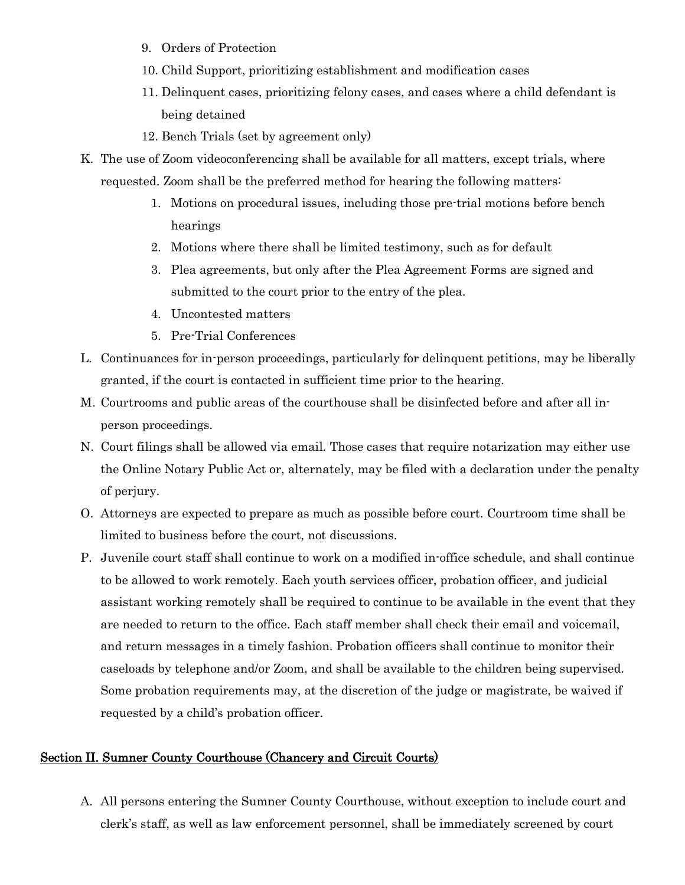- 9. Orders of Protection
- 10. Child Support, prioritizing establishment and modification cases
- 11. Delinquent cases, prioritizing felony cases, and cases where a child defendant is being detained
- 12. Bench Trials (set by agreement only)
- K. The use of Zoom videoconferencing shall be available for all matters, except trials, where requested. Zoom shall be the preferred method for hearing the following matters:
	- 1. Motions on procedural issues, including those pre-trial motions before bench hearings
	- 2. Motions where there shall be limited testimony, such as for default
	- 3. Plea agreements, but only after the Plea Agreement Forms are signed and submitted to the court prior to the entry of the plea.
	- 4. Uncontested matters
	- 5. Pre-Trial Conferences
- L. Continuances for in-person proceedings, particularly for delinquent petitions, may be liberally granted, if the court is contacted in sufficient time prior to the hearing.
- M. Courtrooms and public areas of the courthouse shall be disinfected before and after all inperson proceedings.
- N. Court filings shall be allowed via email. Those cases that require notarization may either use the Online Notary Public Act or, alternately, may be filed with a declaration under the penalty of perjury.
- O. Attorneys are expected to prepare as much as possible before court. Courtroom time shall be limited to business before the court, not discussions.
- P. Juvenile court staff shall continue to work on a modified in-office schedule, and shall continue to be allowed to work remotely. Each youth services officer, probation officer, and judicial assistant working remotely shall be required to continue to be available in the event that they are needed to return to the office. Each staff member shall check their email and voicemail, and return messages in a timely fashion. Probation officers shall continue to monitor their caseloads by telephone and/or Zoom, and shall be available to the children being supervised. Some probation requirements may, at the discretion of the judge or magistrate, be waived if requested by a child's probation officer.

#### Section II. Sumner County Courthouse (Chancery and Circuit Courts)

A. All persons entering the Sumner County Courthouse, without exception to include court and clerk's staff, as well as law enforcement personnel, shall be immediately screened by court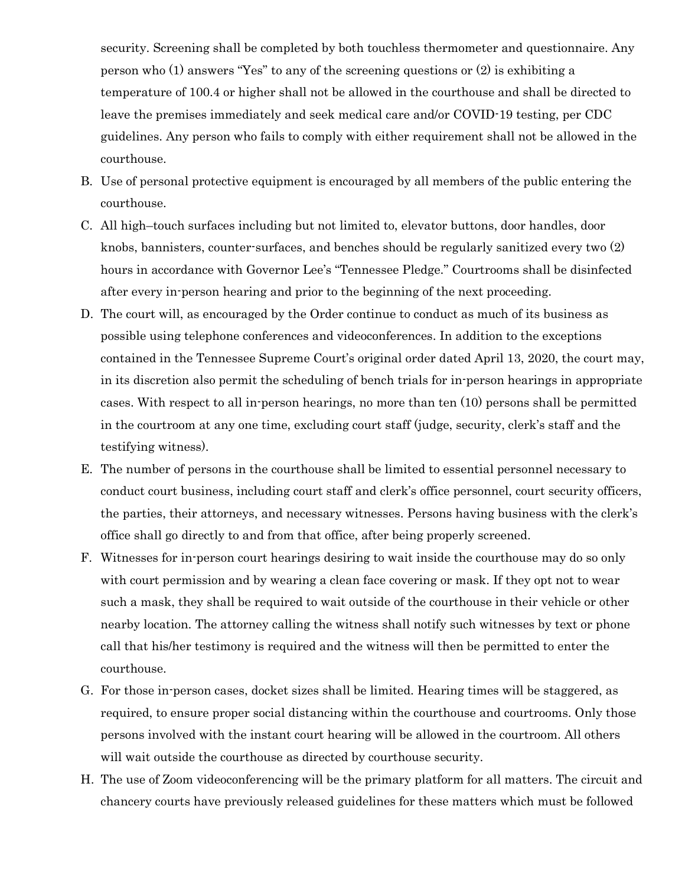security. Screening shall be completed by both touchless thermometer and questionnaire. Any person who (1) answers "Yes" to any of the screening questions or (2) is exhibiting a temperature of 100.4 or higher shall not be allowed in the courthouse and shall be directed to leave the premises immediately and seek medical care and/or COVID-19 testing, per CDC guidelines. Any person who fails to comply with either requirement shall not be allowed in the courthouse.

- B. Use of personal protective equipment is encouraged by all members of the public entering the courthouse.
- C. All high–touch surfaces including but not limited to, elevator buttons, door handles, door knobs, bannisters, counter-surfaces, and benches should be regularly sanitized every two (2) hours in accordance with Governor Lee's "Tennessee Pledge." Courtrooms shall be disinfected after every in-person hearing and prior to the beginning of the next proceeding.
- D. The court will, as encouraged by the Order continue to conduct as much of its business as possible using telephone conferences and videoconferences. In addition to the exceptions contained in the Tennessee Supreme Court's original order dated April 13, 2020, the court may, in its discretion also permit the scheduling of bench trials for in-person hearings in appropriate cases. With respect to all in-person hearings, no more than ten (10) persons shall be permitted in the courtroom at any one time, excluding court staff (judge, security, clerk's staff and the testifying witness).
- E. The number of persons in the courthouse shall be limited to essential personnel necessary to conduct court business, including court staff and clerk's office personnel, court security officers, the parties, their attorneys, and necessary witnesses. Persons having business with the clerk's office shall go directly to and from that office, after being properly screened.
- F. Witnesses for in-person court hearings desiring to wait inside the courthouse may do so only with court permission and by wearing a clean face covering or mask. If they opt not to wear such a mask, they shall be required to wait outside of the courthouse in their vehicle or other nearby location. The attorney calling the witness shall notify such witnesses by text or phone call that his/her testimony is required and the witness will then be permitted to enter the courthouse.
- G. For those in-person cases, docket sizes shall be limited. Hearing times will be staggered, as required, to ensure proper social distancing within the courthouse and courtrooms. Only those persons involved with the instant court hearing will be allowed in the courtroom. All others will wait outside the courthouse as directed by courthouse security.
- H. The use of Zoom videoconferencing will be the primary platform for all matters. The circuit and chancery courts have previously released guidelines for these matters which must be followed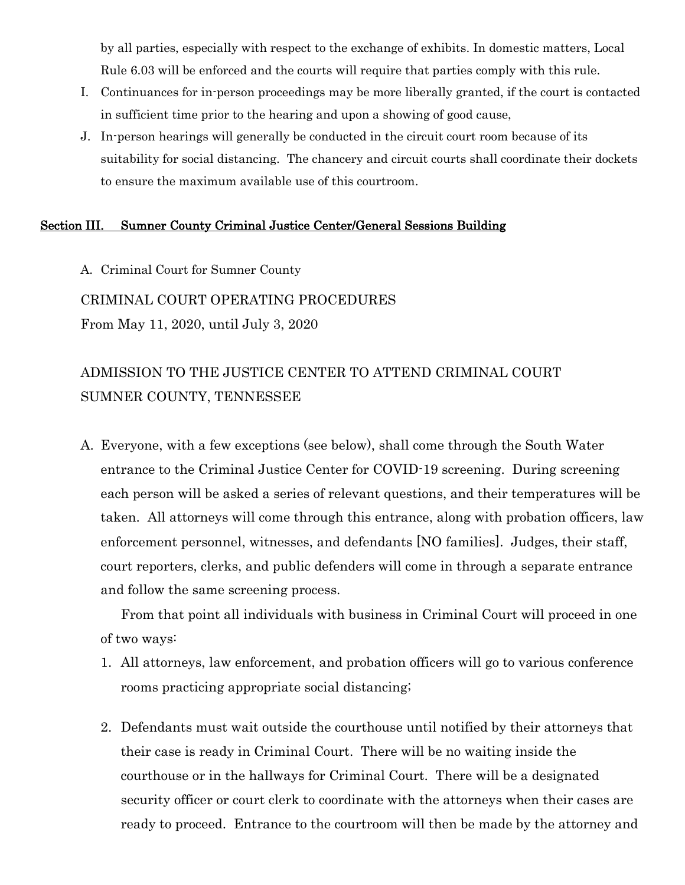by all parties, especially with respect to the exchange of exhibits. In domestic matters, Local Rule 6.03 will be enforced and the courts will require that parties comply with this rule.

- I. Continuances for in-person proceedings may be more liberally granted, if the court is contacted in sufficient time prior to the hearing and upon a showing of good cause,
- J. In-person hearings will generally be conducted in the circuit court room because of its suitability for social distancing. The chancery and circuit courts shall coordinate their dockets to ensure the maximum available use of this courtroom.

#### Section III. Sumner County Criminal Justice Center/General Sessions Building

A. Criminal Court for Sumner County

CRIMINAL COURT OPERATING PROCEDURES

From May 11, 2020, until July 3, 2020

# ADMISSION TO THE JUSTICE CENTER TO ATTEND CRIMINAL COURT SUMNER COUNTY, TENNESSEE

A. Everyone, with a few exceptions (see below), shall come through the South Water entrance to the Criminal Justice Center for COVID-19 screening. During screening each person will be asked a series of relevant questions, and their temperatures will be taken. All attorneys will come through this entrance, along with probation officers, law enforcement personnel, witnesses, and defendants [NO families]. Judges, their staff, court reporters, clerks, and public defenders will come in through a separate entrance and follow the same screening process.

From that point all individuals with business in Criminal Court will proceed in one of two ways:

- 1. All attorneys, law enforcement, and probation officers will go to various conference rooms practicing appropriate social distancing;
- 2. Defendants must wait outside the courthouse until notified by their attorneys that their case is ready in Criminal Court. There will be no waiting inside the courthouse or in the hallways for Criminal Court. There will be a designated security officer or court clerk to coordinate with the attorneys when their cases are ready to proceed. Entrance to the courtroom will then be made by the attorney and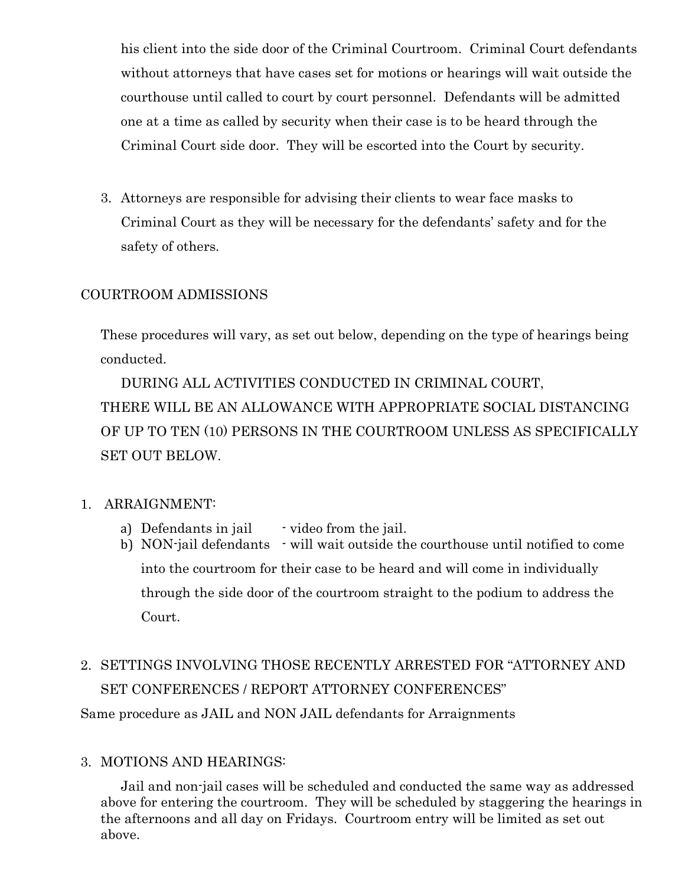his client into the side door of the Criminal Courtroom. Criminal Court defendants without attorneys that have cases set for motions or hearings will wait outside the courthouse until called to court by court personnel. Defendants will be admitted one at a time as called by security when their case is to be heard through the Criminal Court side door. They will be escorted into the Court by security.

3. Attorneys are responsible for advising their clients to wear face masks to Criminal Court as they will be necessary for the defendants' safety and for the safety of others.

## COURTROOM ADMISSIONS

These procedures will vary, as set out below, depending on the type of hearings being conducted.

DURING ALL ACTIVITIES CONDUCTED IN CRIMINAL COURT, THERE WILL BE AN ALLOWANCE WITH APPROPRIATE SOCIAL DISTANCING OF UP TO TEN (10) PERSONS IN THE COURTROOM UNLESS AS SPECIFICALLY SET OUT BELOW.

## 1. ARRAIGNMENT:

- a) Defendants in jail  $\cdot$  video from the jail.
- b) NON-jail defendants will wait outside the courthouse until notified to come into the courtroom for their case to be heard and will come in individually through the side door of the courtroom straight to the podium to address the Court.
- 2. SETTINGS INVOLVING THOSE RECENTLY ARRESTED FOR "ATTORNEY AND SET CONFERENCES / REPORT ATTORNEY CONFERENCES" Same procedure as JAIL and NON JAIL defendants for Arraignments

## 3. MOTIONS AND HEARINGS:

Jail and non-jail cases will be scheduled and conducted the same way as addressed above for entering the courtroom. They will be scheduled by staggering the hearings in the afternoons and all day on Fridays. Courtroom entry will be limited as set out above.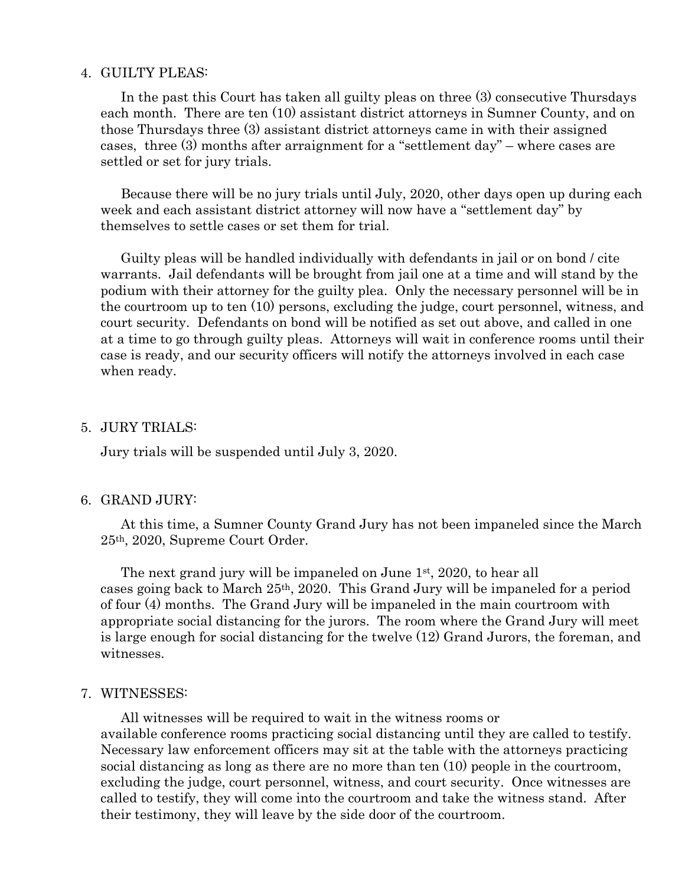#### 4. GUILTY PLEAS:

In the past this Court has taken all guilty pleas on three (3) consecutive Thursdays each month. There are ten (10) assistant district attorneys in Sumner County, and on those Thursdays three (3) assistant district attorneys came in with their assigned cases, three (3) months after arraignment for a "settlement day" – where cases are settled or set for jury trials.

Because there will be no jury trials until July, 2020, other days open up during each week and each assistant district attorney will now have a "settlement day" by themselves to settle cases or set them for trial.

Guilty pleas will be handled individually with defendants in jail or on bond / cite warrants. Jail defendants will be brought from jail one at a time and will stand by the podium with their attorney for the guilty plea. Only the necessary personnel will be in the courtroom up to ten (10) persons, excluding the judge, court personnel, witness, and court security. Defendants on bond will be notified as set out above, and called in one at a time to go through guilty pleas. Attorneys will wait in conference rooms until their case is ready, and our security officers will notify the attorneys involved in each case when ready.

#### 5. JURY TRIALS:

Jury trials will be suspended until July 3, 2020.

#### 6. GRAND JURY:

At this time, a Sumner County Grand Jury has not been impaneled since the March 25th, 2020, Supreme Court Order.

The next grand jury will be impaneled on June 1<sup>st</sup>, 2020, to hear all cases going back to March 25th, 2020. This Grand Jury will be impaneled for a period of four (4) months. The Grand Jury will be impaneled in the main courtroom with appropriate social distancing for the jurors. The room where the Grand Jury will meet is large enough for social distancing for the twelve (12) Grand Jurors, the foreman, and witnesses.

#### 7. WITNESSES:

All witnesses will be required to wait in the witness rooms or available conference rooms practicing social distancing until they are called to testify. Necessary law enforcement officers may sit at the table with the attorneys practicing social distancing as long as there are no more than ten (10) people in the courtroom, excluding the judge, court personnel, witness, and court security. Once witnesses are called to testify, they will come into the courtroom and take the witness stand. After their testimony, they will leave by the side door of the courtroom.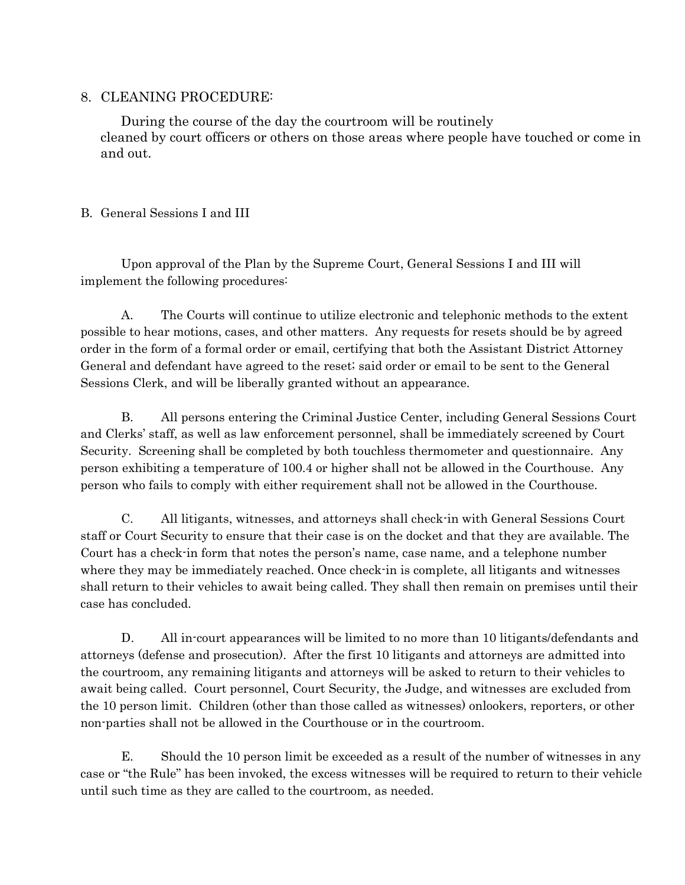## 8. CLEANING PROCEDURE:

During the course of the day the courtroom will be routinely cleaned by court officers or others on those areas where people have touched or come in and out.

## B. General Sessions I and III

Upon approval of the Plan by the Supreme Court, General Sessions I and III will implement the following procedures:

A. The Courts will continue to utilize electronic and telephonic methods to the extent possible to hear motions, cases, and other matters. Any requests for resets should be by agreed order in the form of a formal order or email, certifying that both the Assistant District Attorney General and defendant have agreed to the reset; said order or email to be sent to the General Sessions Clerk, and will be liberally granted without an appearance.

B. All persons entering the Criminal Justice Center, including General Sessions Court and Clerks' staff, as well as law enforcement personnel, shall be immediately screened by Court Security. Screening shall be completed by both touchless thermometer and questionnaire. Any person exhibiting a temperature of 100.4 or higher shall not be allowed in the Courthouse. Any person who fails to comply with either requirement shall not be allowed in the Courthouse.

C. All litigants, witnesses, and attorneys shall check-in with General Sessions Court staff or Court Security to ensure that their case is on the docket and that they are available. The Court has a check-in form that notes the person's name, case name, and a telephone number where they may be immediately reached. Once check-in is complete, all litigants and witnesses shall return to their vehicles to await being called. They shall then remain on premises until their case has concluded.

D. All in-court appearances will be limited to no more than 10 litigants/defendants and attorneys (defense and prosecution). After the first 10 litigants and attorneys are admitted into the courtroom, any remaining litigants and attorneys will be asked to return to their vehicles to await being called. Court personnel, Court Security, the Judge, and witnesses are excluded from the 10 person limit. Children (other than those called as witnesses) onlookers, reporters, or other non-parties shall not be allowed in the Courthouse or in the courtroom.

E. Should the 10 person limit be exceeded as a result of the number of witnesses in any case or "the Rule" has been invoked, the excess witnesses will be required to return to their vehicle until such time as they are called to the courtroom, as needed.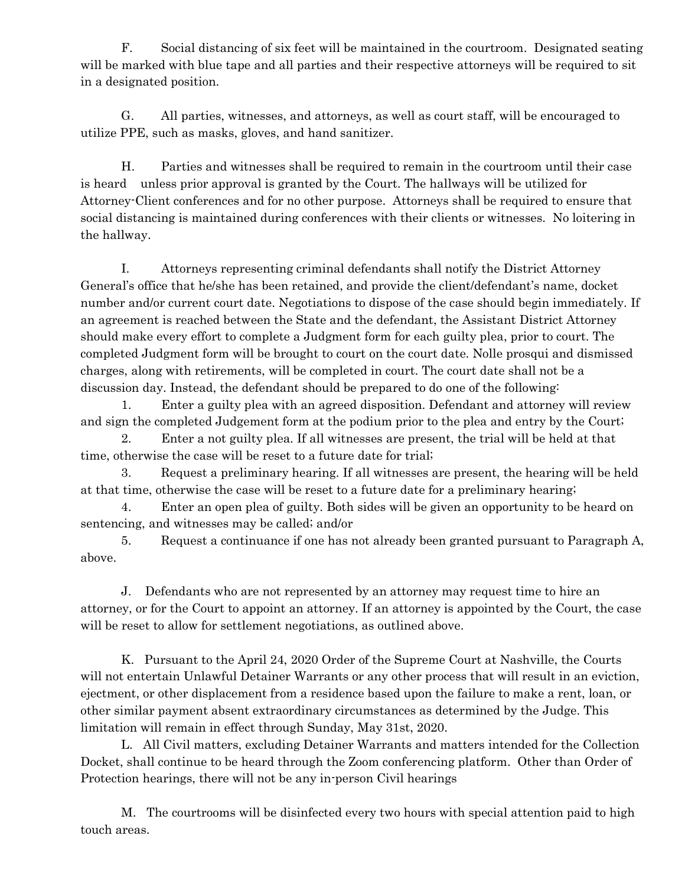F. Social distancing of six feet will be maintained in the courtroom. Designated seating will be marked with blue tape and all parties and their respective attorneys will be required to sit in a designated position.

G. All parties, witnesses, and attorneys, as well as court staff, will be encouraged to utilize PPE, such as masks, gloves, and hand sanitizer.

H. Parties and witnesses shall be required to remain in the courtroom until their case is heard unless prior approval is granted by the Court. The hallways will be utilized for Attorney-Client conferences and for no other purpose. Attorneys shall be required to ensure that social distancing is maintained during conferences with their clients or witnesses. No loitering in the hallway.

I. Attorneys representing criminal defendants shall notify the District Attorney General's office that he/she has been retained, and provide the client/defendant's name, docket number and/or current court date. Negotiations to dispose of the case should begin immediately. If an agreement is reached between the State and the defendant, the Assistant District Attorney should make every effort to complete a Judgment form for each guilty plea, prior to court. The completed Judgment form will be brought to court on the court date. Nolle prosqui and dismissed charges, along with retirements, will be completed in court. The court date shall not be a discussion day. Instead, the defendant should be prepared to do one of the following:

1. Enter a guilty plea with an agreed disposition. Defendant and attorney will review and sign the completed Judgement form at the podium prior to the plea and entry by the Court;

2. Enter a not guilty plea. If all witnesses are present, the trial will be held at that time, otherwise the case will be reset to a future date for trial;

3. Request a preliminary hearing. If all witnesses are present, the hearing will be held at that time, otherwise the case will be reset to a future date for a preliminary hearing;

4. Enter an open plea of guilty. Both sides will be given an opportunity to be heard on sentencing, and witnesses may be called; and/or

5. Request a continuance if one has not already been granted pursuant to Paragraph A, above.

J. Defendants who are not represented by an attorney may request time to hire an attorney, or for the Court to appoint an attorney. If an attorney is appointed by the Court, the case will be reset to allow for settlement negotiations, as outlined above.

K. Pursuant to the April 24, 2020 Order of the Supreme Court at Nashville, the Courts will not entertain Unlawful Detainer Warrants or any other process that will result in an eviction, ejectment, or other displacement from a residence based upon the failure to make a rent, loan, or other similar payment absent extraordinary circumstances as determined by the Judge. This limitation will remain in effect through Sunday, May 31st, 2020.

L. All Civil matters, excluding Detainer Warrants and matters intended for the Collection Docket, shall continue to be heard through the Zoom conferencing platform. Other than Order of Protection hearings, there will not be any in-person Civil hearings

M. The courtrooms will be disinfected every two hours with special attention paid to high touch areas.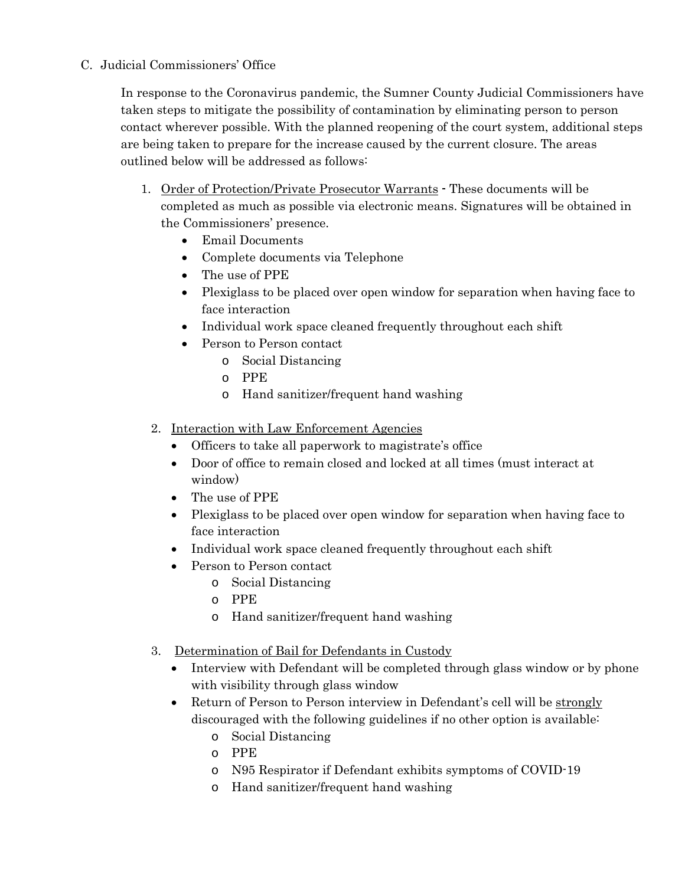C. Judicial Commissioners' Office

In response to the Coronavirus pandemic, the Sumner County Judicial Commissioners have taken steps to mitigate the possibility of contamination by eliminating person to person contact wherever possible. With the planned reopening of the court system, additional steps are being taken to prepare for the increase caused by the current closure. The areas outlined below will be addressed as follows:

- 1. Order of Protection/Private Prosecutor Warrants These documents will be completed as much as possible via electronic means. Signatures will be obtained in the Commissioners' presence.
	- Email Documents
	- Complete documents via Telephone
	- The use of PPE
	- Plexiglass to be placed over open window for separation when having face to face interaction
	- Individual work space cleaned frequently throughout each shift
	- Person to Person contact
		- o Social Distancing
		- o PPE
		- o Hand sanitizer/frequent hand washing
	- 2. Interaction with Law Enforcement Agencies
		- Officers to take all paperwork to magistrate's office
		- Door of office to remain closed and locked at all times (must interact at window)
		- The use of PPE
		- Plexiglass to be placed over open window for separation when having face to face interaction
		- Individual work space cleaned frequently throughout each shift
		- Person to Person contact
			- o Social Distancing
			- o PPE
			- o Hand sanitizer/frequent hand washing
	- 3. Determination of Bail for Defendants in Custody
		- Interview with Defendant will be completed through glass window or by phone with visibility through glass window
		- Return of Person to Person interview in Defendant's cell will be strongly discouraged with the following guidelines if no other option is available:
			- o Social Distancing
			- o PPE
			- o N95 Respirator if Defendant exhibits symptoms of COVID-19
			- o Hand sanitizer/frequent hand washing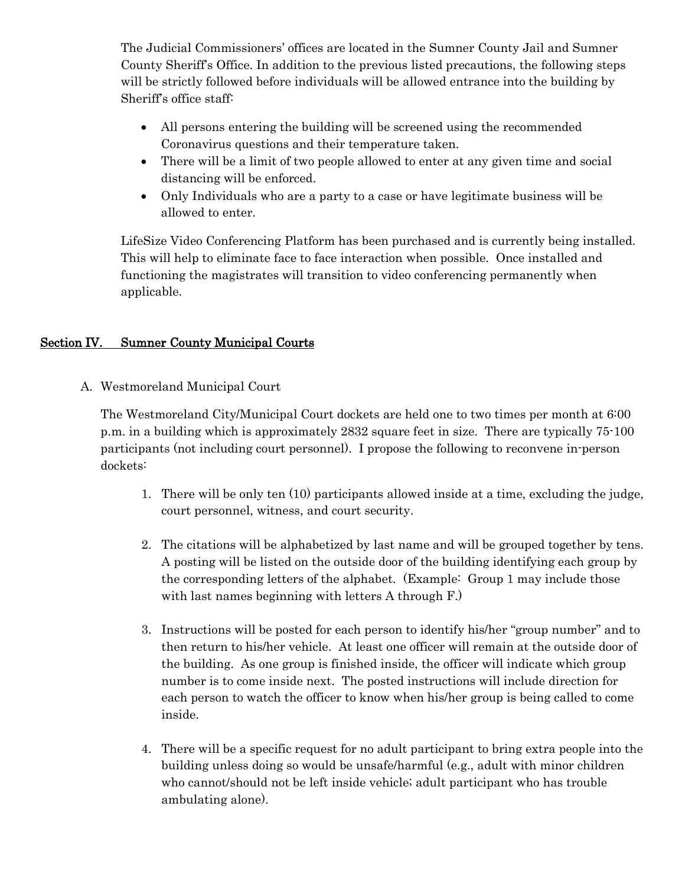The Judicial Commissioners' offices are located in the Sumner County Jail and Sumner County Sheriff's Office. In addition to the previous listed precautions, the following steps will be strictly followed before individuals will be allowed entrance into the building by Sheriff's office staff:

- All persons entering the building will be screened using the recommended Coronavirus questions and their temperature taken.
- There will be a limit of two people allowed to enter at any given time and social distancing will be enforced.
- Only Individuals who are a party to a case or have legitimate business will be allowed to enter.

LifeSize Video Conferencing Platform has been purchased and is currently being installed. This will help to eliminate face to face interaction when possible. Once installed and functioning the magistrates will transition to video conferencing permanently when applicable.

## Section IV. Sumner County Municipal Courts

A. Westmoreland Municipal Court

The Westmoreland City/Municipal Court dockets are held one to two times per month at 6:00 p.m. in a building which is approximately 2832 square feet in size. There are typically 75-100 participants (not including court personnel). I propose the following to reconvene in-person dockets:

- 1. There will be only ten (10) participants allowed inside at a time, excluding the judge, court personnel, witness, and court security.
- 2. The citations will be alphabetized by last name and will be grouped together by tens. A posting will be listed on the outside door of the building identifying each group by the corresponding letters of the alphabet. (Example: Group 1 may include those with last names beginning with letters A through F.)
- 3. Instructions will be posted for each person to identify his/her "group number" and to then return to his/her vehicle. At least one officer will remain at the outside door of the building. As one group is finished inside, the officer will indicate which group number is to come inside next. The posted instructions will include direction for each person to watch the officer to know when his/her group is being called to come inside.
- 4. There will be a specific request for no adult participant to bring extra people into the building unless doing so would be unsafe/harmful (e.g., adult with minor children who cannot/should not be left inside vehicle; adult participant who has trouble ambulating alone).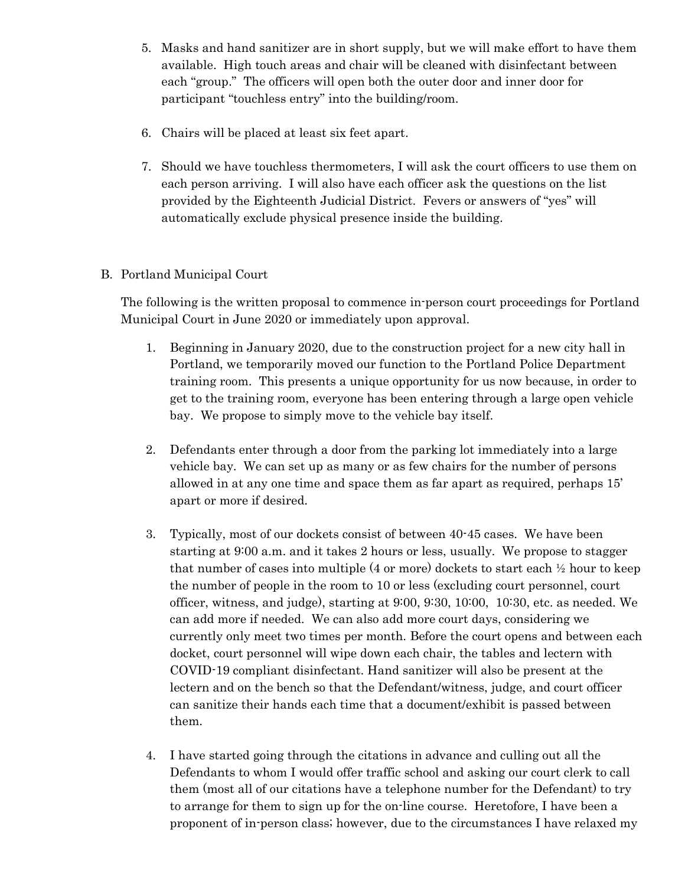- 5. Masks and hand sanitizer are in short supply, but we will make effort to have them available. High touch areas and chair will be cleaned with disinfectant between each "group." The officers will open both the outer door and inner door for participant "touchless entry" into the building/room.
- 6. Chairs will be placed at least six feet apart.
- 7. Should we have touchless thermometers, I will ask the court officers to use them on each person arriving. I will also have each officer ask the questions on the list provided by the Eighteenth Judicial District. Fevers or answers of "yes" will automatically exclude physical presence inside the building.
- B. Portland Municipal Court

The following is the written proposal to commence in-person court proceedings for Portland Municipal Court in June 2020 or immediately upon approval.

- 1. Beginning in January 2020, due to the construction project for a new city hall in Portland, we temporarily moved our function to the Portland Police Department training room. This presents a unique opportunity for us now because, in order to get to the training room, everyone has been entering through a large open vehicle bay. We propose to simply move to the vehicle bay itself.
- 2. Defendants enter through a door from the parking lot immediately into a large vehicle bay. We can set up as many or as few chairs for the number of persons allowed in at any one time and space them as far apart as required, perhaps 15' apart or more if desired.
- 3. Typically, most of our dockets consist of between 40-45 cases. We have been starting at 9:00 a.m. and it takes 2 hours or less, usually. We propose to stagger that number of cases into multiple  $(4 \text{ or more})$  dockets to start each  $\frac{1}{2}$  hour to keep the number of people in the room to 10 or less (excluding court personnel, court officer, witness, and judge), starting at 9:00, 9:30, 10:00, 10:30, etc. as needed. We can add more if needed. We can also add more court days, considering we currently only meet two times per month. Before the court opens and between each docket, court personnel will wipe down each chair, the tables and lectern with COVID-19 compliant disinfectant. Hand sanitizer will also be present at the lectern and on the bench so that the Defendant/witness, judge, and court officer can sanitize their hands each time that a document/exhibit is passed between them.
- 4. I have started going through the citations in advance and culling out all the Defendants to whom I would offer traffic school and asking our court clerk to call them (most all of our citations have a telephone number for the Defendant) to try to arrange for them to sign up for the on-line course. Heretofore, I have been a proponent of in-person class; however, due to the circumstances I have relaxed my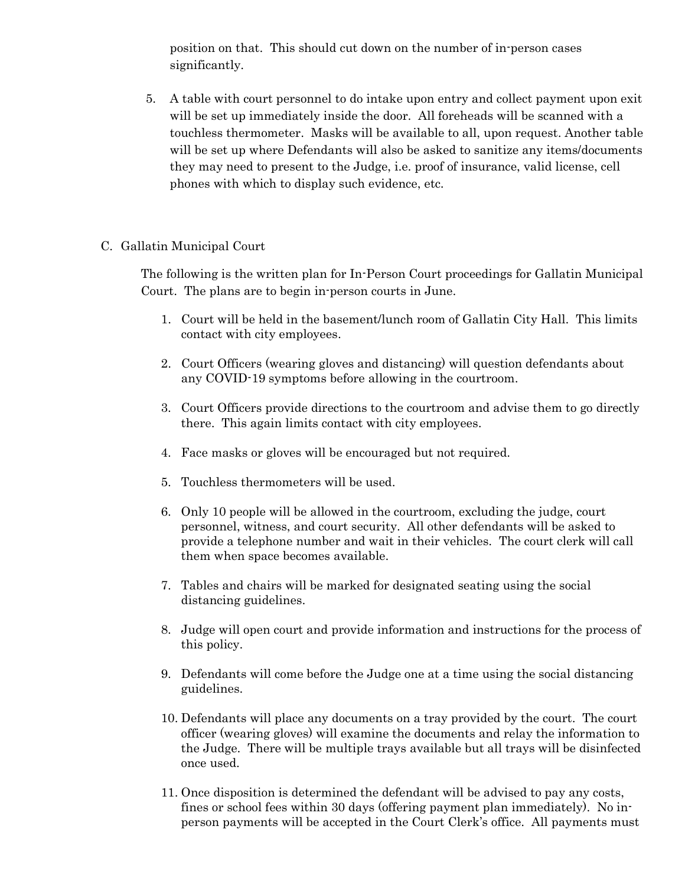position on that. This should cut down on the number of in-person cases significantly.

5. A table with court personnel to do intake upon entry and collect payment upon exit will be set up immediately inside the door. All foreheads will be scanned with a touchless thermometer. Masks will be available to all, upon request. Another table will be set up where Defendants will also be asked to sanitize any items/documents they may need to present to the Judge, i.e. proof of insurance, valid license, cell phones with which to display such evidence, etc.

#### C. Gallatin Municipal Court

The following is the written plan for In-Person Court proceedings for Gallatin Municipal Court. The plans are to begin in-person courts in June.

- 1. Court will be held in the basement/lunch room of Gallatin City Hall. This limits contact with city employees.
- 2. Court Officers (wearing gloves and distancing) will question defendants about any COVID-19 symptoms before allowing in the courtroom.
- 3. Court Officers provide directions to the courtroom and advise them to go directly there. This again limits contact with city employees.
- 4. Face masks or gloves will be encouraged but not required.
- 5. Touchless thermometers will be used.
- 6. Only 10 people will be allowed in the courtroom, excluding the judge, court personnel, witness, and court security. All other defendants will be asked to provide a telephone number and wait in their vehicles. The court clerk will call them when space becomes available.
- 7. Tables and chairs will be marked for designated seating using the social distancing guidelines.
- 8. Judge will open court and provide information and instructions for the process of this policy.
- 9. Defendants will come before the Judge one at a time using the social distancing guidelines.
- 10. Defendants will place any documents on a tray provided by the court. The court officer (wearing gloves) will examine the documents and relay the information to the Judge. There will be multiple trays available but all trays will be disinfected once used.
- 11. Once disposition is determined the defendant will be advised to pay any costs, fines or school fees within 30 days (offering payment plan immediately). No inperson payments will be accepted in the Court Clerk's office. All payments must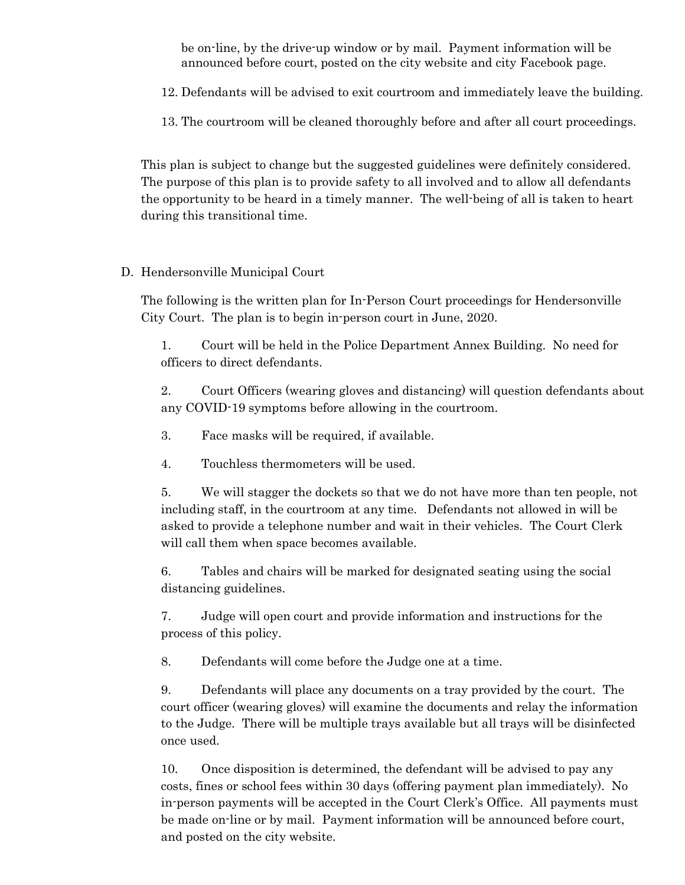be on-line, by the drive-up window or by mail. Payment information will be announced before court, posted on the city website and city Facebook page.

12. Defendants will be advised to exit courtroom and immediately leave the building.

13. The courtroom will be cleaned thoroughly before and after all court proceedings.

This plan is subject to change but the suggested guidelines were definitely considered. The purpose of this plan is to provide safety to all involved and to allow all defendants the opportunity to be heard in a timely manner. The well-being of all is taken to heart during this transitional time.

## D. Hendersonville Municipal Court

The following is the written plan for In-Person Court proceedings for Hendersonville City Court. The plan is to begin in-person court in June, 2020.

1. Court will be held in the Police Department Annex Building. No need for officers to direct defendants.

2. Court Officers (wearing gloves and distancing) will question defendants about any COVID-19 symptoms before allowing in the courtroom.

- 3. Face masks will be required, if available.
- 4. Touchless thermometers will be used.

5. We will stagger the dockets so that we do not have more than ten people, not including staff, in the courtroom at any time. Defendants not allowed in will be asked to provide a telephone number and wait in their vehicles. The Court Clerk will call them when space becomes available.

6. Tables and chairs will be marked for designated seating using the social distancing guidelines.

7. Judge will open court and provide information and instructions for the process of this policy.

8. Defendants will come before the Judge one at a time.

9. Defendants will place any documents on a tray provided by the court. The court officer (wearing gloves) will examine the documents and relay the information to the Judge. There will be multiple trays available but all trays will be disinfected once used.

10. Once disposition is determined, the defendant will be advised to pay any costs, fines or school fees within 30 days (offering payment plan immediately). No in-person payments will be accepted in the Court Clerk's Office. All payments must be made on-line or by mail. Payment information will be announced before court, and posted on the city website.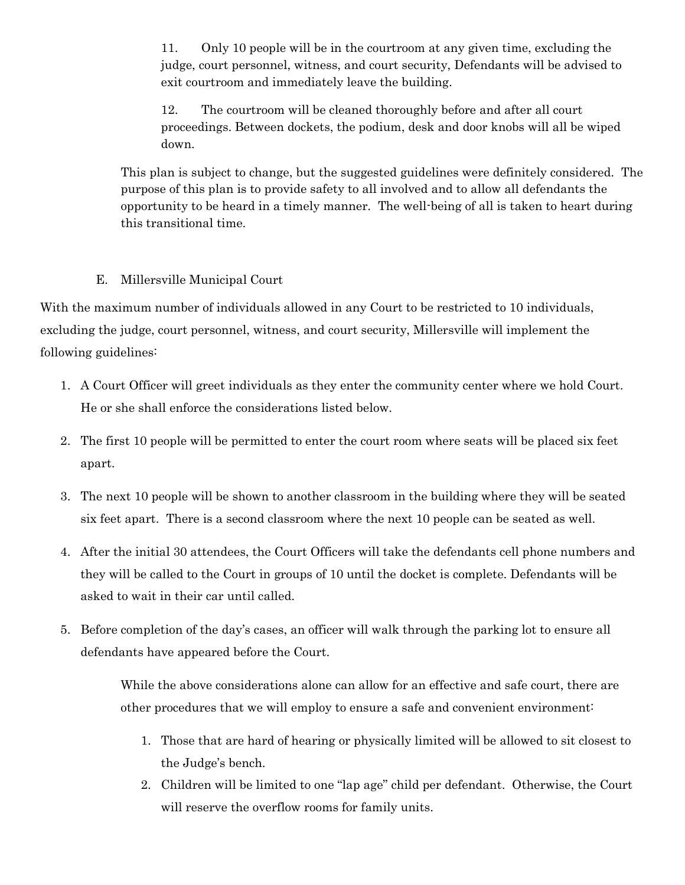11. Only 10 people will be in the courtroom at any given time, excluding the judge, court personnel, witness, and court security, Defendants will be advised to exit courtroom and immediately leave the building.

12. The courtroom will be cleaned thoroughly before and after all court proceedings. Between dockets, the podium, desk and door knobs will all be wiped down.

This plan is subject to change, but the suggested guidelines were definitely considered. The purpose of this plan is to provide safety to all involved and to allow all defendants the opportunity to be heard in a timely manner. The well-being of all is taken to heart during this transitional time.

## E. Millersville Municipal Court

With the maximum number of individuals allowed in any Court to be restricted to 10 individuals, excluding the judge, court personnel, witness, and court security, Millersville will implement the following guidelines:

- 1. A Court Officer will greet individuals as they enter the community center where we hold Court. He or she shall enforce the considerations listed below.
- 2. The first 10 people will be permitted to enter the court room where seats will be placed six feet apart.
- 3. The next 10 people will be shown to another classroom in the building where they will be seated six feet apart. There is a second classroom where the next 10 people can be seated as well.
- 4. After the initial 30 attendees, the Court Officers will take the defendants cell phone numbers and they will be called to the Court in groups of 10 until the docket is complete. Defendants will be asked to wait in their car until called.
- 5. Before completion of the day's cases, an officer will walk through the parking lot to ensure all defendants have appeared before the Court.

While the above considerations alone can allow for an effective and safe court, there are other procedures that we will employ to ensure a safe and convenient environment:

- 1. Those that are hard of hearing or physically limited will be allowed to sit closest to the Judge's bench.
- 2. Children will be limited to one "lap age" child per defendant. Otherwise, the Court will reserve the overflow rooms for family units.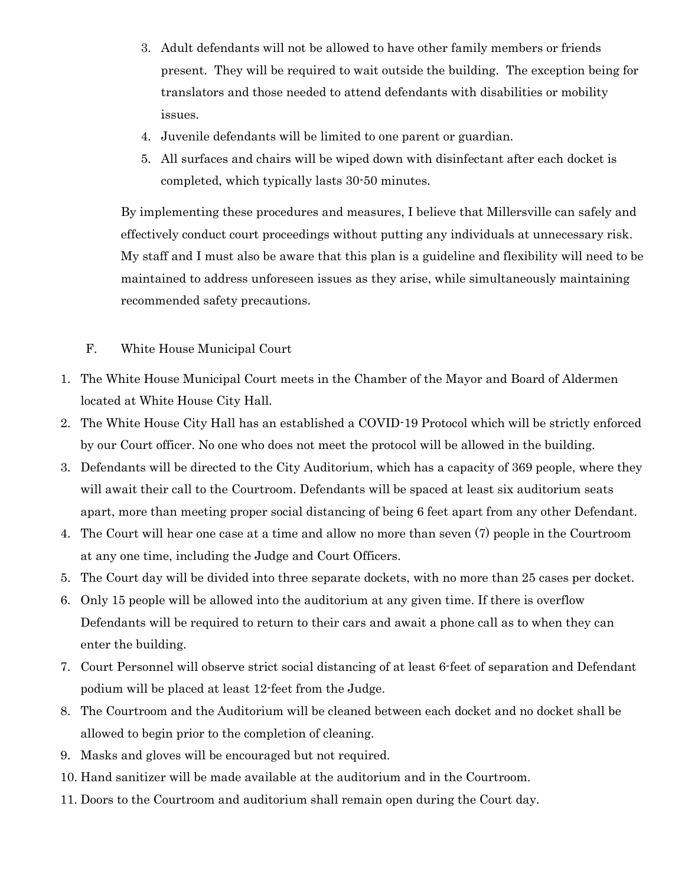- 3. Adult defendants will not be allowed to have other family members or friends present. They will be required to wait outside the building. The exception being for translators and those needed to attend defendants with disabilities or mobility issues.
- 4. Juvenile defendants will be limited to one parent or guardian.
- 5. All surfaces and chairs will be wiped down with disinfectant after each docket is completed, which typically lasts 30-50 minutes.

By implementing these procedures and measures, I believe that Millersville can safely and effectively conduct court proceedings without putting any individuals at unnecessary risk. My staff and I must also be aware that this plan is a guideline and flexibility will need to be maintained to address unforeseen issues as they arise, while simultaneously maintaining recommended safety precautions.

- F. White House Municipal Court
- 1. The White House Municipal Court meets in the Chamber of the Mayor and Board of Aldermen located at White House City Hall.
- 2. The White House City Hall has an established a COVID-19 Protocol which will be strictly enforced by our Court officer. No one who does not meet the protocol will be allowed in the building.
- 3. Defendants will be directed to the City Auditorium, which has a capacity of 369 people, where they will await their call to the Courtroom. Defendants will be spaced at least six auditorium seats apart, more than meeting proper social distancing of being 6 feet apart from any other Defendant.
- 4. The Court will hear one case at a time and allow no more than seven (7) people in the Courtroom at any one time, including the Judge and Court Officers.
- 5. The Court day will be divided into three separate dockets, with no more than 25 cases per docket.
- 6. Only 15 people will be allowed into the auditorium at any given time. If there is overflow Defendants will be required to return to their cars and await a phone call as to when they can enter the building.
- 7. Court Personnel will observe strict social distancing of at least 6-feet of separation and Defendant podium will be placed at least 12-feet from the Judge.
- 8. The Courtroom and the Auditorium will be cleaned between each docket and no docket shall be allowed to begin prior to the completion of cleaning.
- 9. Masks and gloves will be encouraged but not required.
- 10. Hand sanitizer will be made available at the auditorium and in the Courtroom.
- 11. Doors to the Courtroom and auditorium shall remain open during the Court day.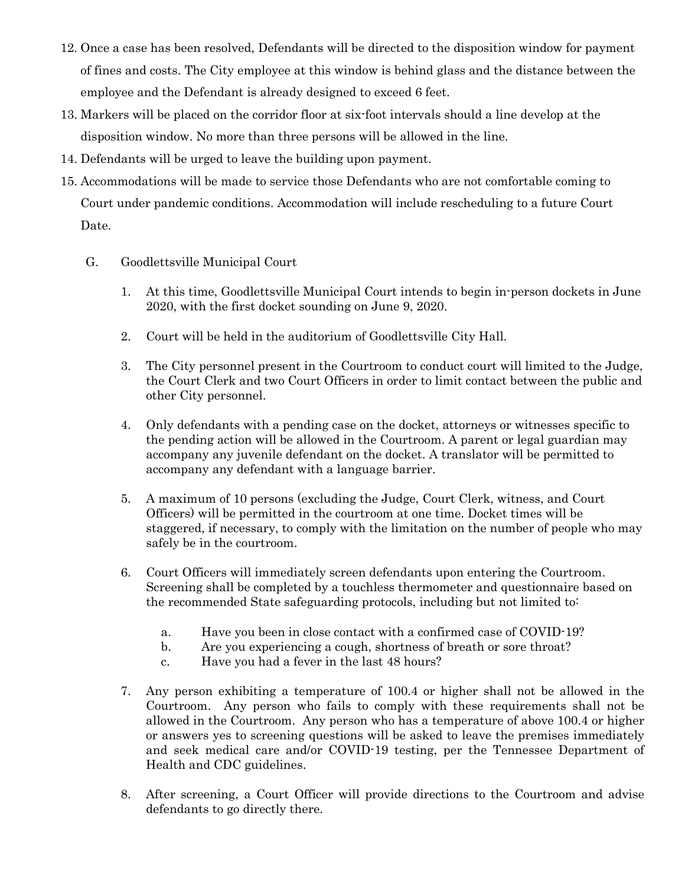- 12. Once a case has been resolved, Defendants will be directed to the disposition window for payment of fines and costs. The City employee at this window is behind glass and the distance between the employee and the Defendant is already designed to exceed 6 feet.
- 13. Markers will be placed on the corridor floor at six-foot intervals should a line develop at the disposition window. No more than three persons will be allowed in the line.
- 14. Defendants will be urged to leave the building upon payment.
- 15. Accommodations will be made to service those Defendants who are not comfortable coming to Court under pandemic conditions. Accommodation will include rescheduling to a future Court Date.
	- G. Goodlettsville Municipal Court
		- 1. At this time, Goodlettsville Municipal Court intends to begin in-person dockets in June 2020, with the first docket sounding on June 9, 2020.
		- 2. Court will be held in the auditorium of Goodlettsville City Hall.
		- 3. The City personnel present in the Courtroom to conduct court will limited to the Judge, the Court Clerk and two Court Officers in order to limit contact between the public and other City personnel.
		- 4. Only defendants with a pending case on the docket, attorneys or witnesses specific to the pending action will be allowed in the Courtroom. A parent or legal guardian may accompany any juvenile defendant on the docket. A translator will be permitted to accompany any defendant with a language barrier.
		- 5. A maximum of 10 persons (excluding the Judge, Court Clerk, witness, and Court Officers) will be permitted in the courtroom at one time. Docket times will be staggered, if necessary, to comply with the limitation on the number of people who may safely be in the courtroom.
		- 6. Court Officers will immediately screen defendants upon entering the Courtroom. Screening shall be completed by a touchless thermometer and questionnaire based on the recommended State safeguarding protocols, including but not limited to:
			- a. Have you been in close contact with a confirmed case of COVID-19?
			- b. Are you experiencing a cough, shortness of breath or sore throat?
			- c. Have you had a fever in the last 48 hours?
		- 7. Any person exhibiting a temperature of 100.4 or higher shall not be allowed in the Courtroom. Any person who fails to comply with these requirements shall not be allowed in the Courtroom. Any person who has a temperature of above 100.4 or higher or answers yes to screening questions will be asked to leave the premises immediately and seek medical care and/or COVID-19 testing, per the Tennessee Department of Health and CDC guidelines.
		- 8. After screening, a Court Officer will provide directions to the Courtroom and advise defendants to go directly there.